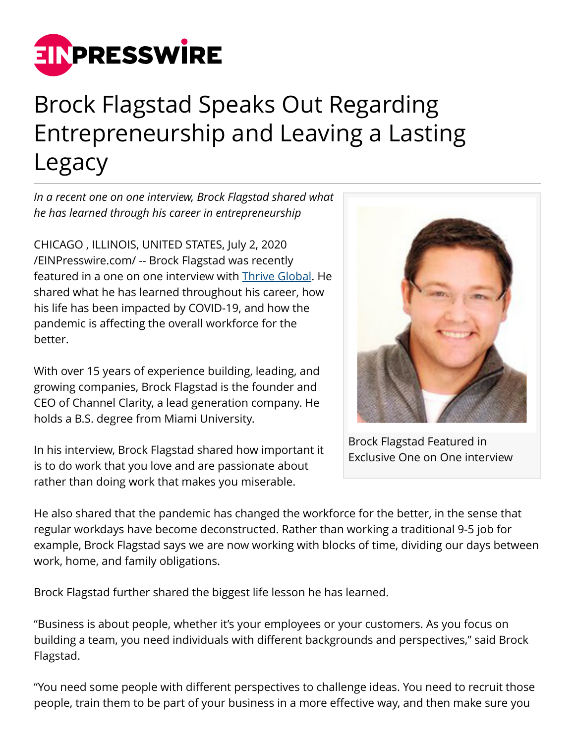

## Brock Flagstad Speaks Out Regarding Entrepreneurship and Leaving a Lasting Legacy

*In a recent one on one interview, Brock Flagstad shared what he has learned through his career in entrepreneurship* 

CHICAGO , ILLINOIS, UNITED STATES, July 2, 2020 [/EINPresswire.com/](http://www.einpresswire.com) -- Brock Flagstad was recently featured in a one on one interview with [Thrive Global.](https://thriveglobal.com/stories/a-conversation-with-brock-flagstad-about-entrepreneurship-and-leaving-a-lasting-legacy/) He shared what he has learned throughout his career, how his life has been impacted by COVID-19, and how the pandemic is affecting the overall workforce for the better.

With over 15 years of experience building, leading, and growing companies, Brock Flagstad is the founder and CEO of Channel Clarity, a lead generation company. He holds a B.S. degree from Miami University.

In his interview, Brock Flagstad shared how important it is to do work that you love and are passionate about rather than doing work that makes you miserable.



Brock Flagstad Featured in Exclusive One on One interview

He also shared that the pandemic has changed the workforce for the better, in the sense that regular workdays have become deconstructed. Rather than working a traditional 9-5 job for example, Brock Flagstad says we are now working with blocks of time, dividing our days between work, home, and family obligations.

Brock Flagstad further shared the biggest life lesson he has learned.

"Business is about people, whether it's your employees or your customers. As you focus on building a team, you need individuals with different backgrounds and perspectives," said Brock Flagstad.

"You need some people with different perspectives to challenge ideas. You need to recruit those people, train them to be part of your business in a more effective way, and then make sure you